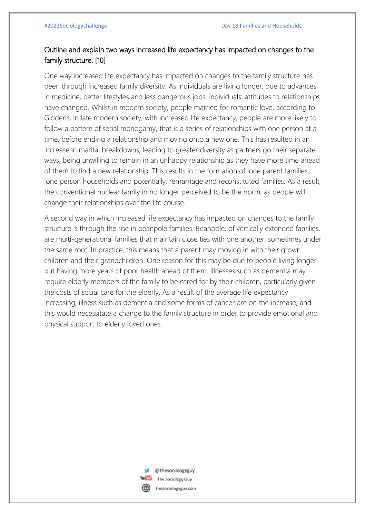.

## Outline and explain two ways increased life expectancy has impacted on changes to the family structure. [10]

One way increased life expectancy has impacted on changes to the family structure has been through increased family diversity. As individuals are living longer, due to advances in medicine, better lifestyles and less dangerous jobs, individuals' attitudes to relationships have changed. Whilst in modern society, people married for romantic love, according to Giddens, in late modern society, with increased life expectancy, people are more likely to follow a pattern of serial monogamy, that is a series of relationships with one person at a time, before ending a relationship and moving onto a new one. This has resulted in an increase in marital breakdowns, leading to greater diversity as partners go their separate ways, being unwilling to remain in an unhappy relationship as they have more time ahead of them to find a new relationship. This results in the formation of lone parent families, lone person households and potentially, remarriage and reconstituted families. As a result, the conventional nuclear family in no longer perceived to be the norm, as people will change their relationships over the life course.

A second way in which increased life expectancy has impacted on changes to the family structure is through the rise in beanpole families. Beanpole, of vertically extended families, are multi-generational families that maintain close ties with one another, sometimes under the same roof. In practice, this means that a parent may moving in with their grown children and their grandchildren. One reason for this may be due to people living longer but having more years of poor health ahead of them. Illnesses such as dementia may require elderly members of the family to be cared for by their children, particularly given the costs of social care for the elderly. As a result of the average life expectancy increasing, illness such as dementia and some forms of cancer are on the increase, and this would necessitate a change to the family structure in order to provide emotional and physical support to elderly loved ones.